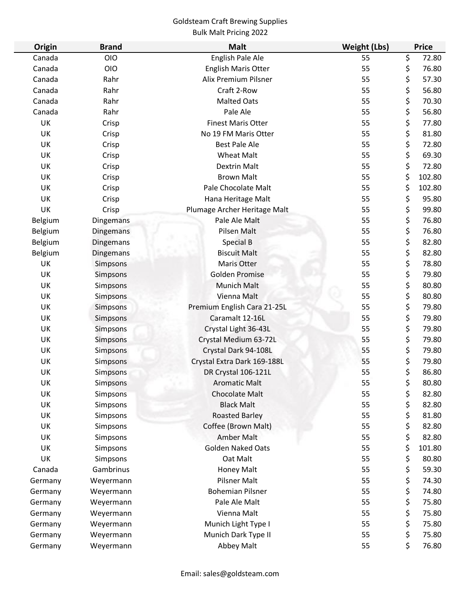# Goldsteam Craft Brewing Supplies

## Bulk Malt Pricing 2022

| Origin  | <b>Brand</b>     | <b>Malt</b>                  | <b>Weight (Lbs)</b> | <b>Price</b> |        |
|---------|------------------|------------------------------|---------------------|--------------|--------|
| Canada  | <b>OIO</b>       | English Pale Ale             | 55                  | \$           | 72.80  |
| Canada  | <b>OIO</b>       | <b>English Maris Otter</b>   | 55                  | \$           | 76.80  |
| Canada  | Rahr             | Alix Premium Pilsner         | 55                  | \$           | 57.30  |
| Canada  | Rahr             | Craft 2-Row                  | 55                  | \$           | 56.80  |
| Canada  | Rahr             | <b>Malted Oats</b>           | 55                  | \$           | 70.30  |
| Canada  | Rahr             | Pale Ale                     | 55                  | \$           | 56.80  |
| UK      | Crisp            | <b>Finest Maris Otter</b>    | 55                  | \$           | 77.80  |
| UK      | Crisp            | No 19 FM Maris Otter         | 55                  | \$           | 81.80  |
| UK      | Crisp            | <b>Best Pale Ale</b>         | 55                  | \$           | 72.80  |
| UK      | Crisp            | <b>Wheat Malt</b>            | 55                  | \$           | 69.30  |
| UK      | Crisp            | <b>Dextrin Malt</b>          | 55                  | \$           | 72.80  |
| UK      | Crisp            | <b>Brown Malt</b>            | 55                  | \$           | 102.80 |
| UK      | Crisp            | Pale Chocolate Malt          | 55                  | \$           | 102.80 |
| UK      | Crisp            | Hana Heritage Malt           | 55                  | \$           | 95.80  |
| UK      | Crisp            | Plumage Archer Heritage Malt | 55                  | \$           | 99.80  |
| Belgium | Dingemans        | Pale Ale Malt                | 55                  | \$           | 76.80  |
| Belgium | <b>Dingemans</b> | Pilsen Malt                  | 55                  | \$           | 76.80  |
| Belgium | Dingemans        | Special B                    | 55                  | \$           | 82.80  |
| Belgium | Dingemans        | <b>Biscuit Malt</b>          | 55                  | \$           | 82.80  |
| UK      | Simpsons         | Maris Otter                  | 55                  | \$           | 78.80  |
| UK      | Simpsons         | <b>Golden Promise</b>        | 55                  | \$           | 79.80  |
| UK      | Simpsons         | Munich Malt                  | 55                  | \$           | 80.80  |
| UK      | Simpsons         | Vienna Malt                  | 55                  | \$           | 80.80  |
| UK      | Simpsons         | Premium English Cara 21-25L  | 55                  | \$           | 79.80  |
| UK      | Simpsons         | Caramalt 12-16L              | 55                  | \$           | 79.80  |
| UK      | <b>Simpsons</b>  | Crystal Light 36-43L         | 55                  | \$           | 79.80  |
| UK      | Simpsons         | Crystal Medium 63-72L        | 55                  | \$           | 79.80  |
| UK      | Simpsons         | Crystal Dark 94-108L         | 55                  | \$           | 79.80  |
| UK      | Simpsons         | Crystal Extra Dark 169-188L  | 55                  | \$           | 79.80  |
| UK      | Simpsons         | DR Crystal 106-121L          | 55                  | \$           | 86.80  |
| UK      | Simpsons         | <b>Aromatic Malt</b>         | 55                  | \$           | 80.80  |
| UK      | Simpsons         | <b>Chocolate Malt</b>        | 55                  | \$           | 82.80  |
| UK      | Simpsons         | <b>Black Malt</b>            | 55                  | \$           | 82.80  |
| UK      | Simpsons         | <b>Roasted Barley</b>        | 55                  | \$           | 81.80  |
| UK      | Simpsons         | Coffee (Brown Malt)          | 55                  | \$           | 82.80  |
| UK      | Simpsons         | <b>Amber Malt</b>            | 55                  | \$           | 82.80  |
| UK      | Simpsons         | <b>Golden Naked Oats</b>     | 55                  | \$           | 101.80 |
| UK      | Simpsons         | Oat Malt                     | 55                  | \$           | 80.80  |
| Canada  | Gambrinus        | Honey Malt                   | 55                  | \$           | 59.30  |
| Germany | Weyermann        | <b>Pilsner Malt</b>          | 55                  | \$           | 74.30  |
| Germany | Weyermann        | <b>Bohemian Pilsner</b>      | 55                  | \$           | 74.80  |
| Germany | Weyermann        | Pale Ale Malt                | 55                  | \$           | 75.80  |
| Germany | Weyermann        | Vienna Malt                  | 55                  | \$           | 75.80  |
| Germany | Weyermann        | Munich Light Type I          | 55                  | \$           | 75.80  |
| Germany | Weyermann        | Munich Dark Type II          | 55                  | \$           | 75.80  |
| Germany | Weyermann        | Abbey Malt                   | 55                  | \$           | 76.80  |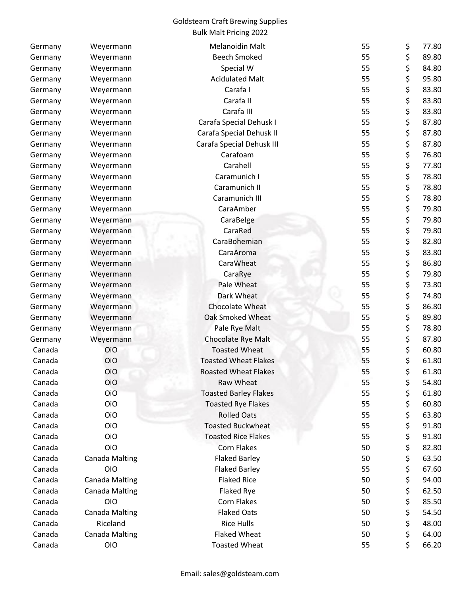## Goldsteam Craft Brewing Supplies Bulk Malt Pricing 2022

| Germany | Weyermann             | <b>Melanoidin Malt</b>       | 55 | \$<br>77.80 |
|---------|-----------------------|------------------------------|----|-------------|
| Germany | Weyermann             | <b>Beech Smoked</b>          | 55 | \$<br>89.80 |
| Germany | Weyermann             | Special W                    | 55 | \$<br>84.80 |
| Germany | Weyermann             | <b>Acidulated Malt</b>       | 55 | \$<br>95.80 |
| Germany | Weyermann             | Carafa I                     | 55 | \$<br>83.80 |
| Germany | Weyermann             | Carafa II                    | 55 | \$<br>83.80 |
| Germany | Weyermann             | Carafa III                   | 55 | \$<br>83.80 |
| Germany | Weyermann             | Carafa Special Dehusk I      | 55 | \$<br>87.80 |
| Germany | Weyermann             | Carafa Special Dehusk II     | 55 | \$<br>87.80 |
| Germany | Weyermann             | Carafa Special Dehusk III    | 55 | \$<br>87.80 |
| Germany | Weyermann             | Carafoam                     | 55 | \$<br>76.80 |
| Germany | Weyermann             | Carahell                     | 55 | \$<br>77.80 |
| Germany | Weyermann             | Caramunich I                 | 55 | \$<br>78.80 |
| Germany | Weyermann             | Caramunich II                | 55 | \$<br>78.80 |
| Germany | Weyermann             | Caramunich III               | 55 | \$<br>78.80 |
| Germany | Weyermann             | CaraAmber                    | 55 | \$<br>79.80 |
| Germany | Weyermann             | CaraBelge                    | 55 | \$<br>79.80 |
| Germany | Weyermann             | CaraRed                      | 55 | \$<br>79.80 |
| Germany | Weyermann             | CaraBohemian                 | 55 | \$<br>82.80 |
| Germany | Weyermann             | CaraAroma                    | 55 | \$<br>83.80 |
| Germany | Weyermann             | CaraWheat                    | 55 | \$<br>86.80 |
| Germany | Weyermann             | CaraRye                      | 55 | \$<br>79.80 |
| Germany | Weyermann             | Pale Wheat                   | 55 | \$<br>73.80 |
| Germany | Weyermann             | Dark Wheat                   | 55 | \$<br>74.80 |
| Germany | Weyermann             | <b>Chocolate Wheat</b>       | 55 | \$<br>86.80 |
| Germany | Weyermann             | <b>Oak Smoked Wheat</b>      | 55 | \$<br>89.80 |
| Germany | Weyermann             | Pale Rye Malt                | 55 | \$<br>78.80 |
| Germany | Weyermann             | Chocolate Rye Malt           | 55 | \$<br>87.80 |
| Canada  | <b>OiO</b>            | <b>Toasted Wheat</b>         | 55 | \$<br>60.80 |
| Canada  | <b>OiO</b>            | <b>Toasted Wheat Flakes</b>  | 55 | \$<br>61.80 |
| Canada  | OiO                   | <b>Roasted Wheat Flakes</b>  | 55 | \$<br>61.80 |
| Canada  | OiO                   | Raw Wheat                    | 55 | \$<br>54.80 |
| Canada  | OiO                   | <b>Toasted Barley Flakes</b> | 55 | \$<br>61.80 |
| Canada  | OiO                   | <b>Toasted Rye Flakes</b>    | 55 | \$<br>60.80 |
| Canada  | OiO                   | <b>Rolled Oats</b>           | 55 | \$<br>63.80 |
| Canada  | <b>OiO</b>            | <b>Toasted Buckwheat</b>     | 55 | \$<br>91.80 |
| Canada  | <b>OiO</b>            | <b>Toasted Rice Flakes</b>   | 55 | \$<br>91.80 |
| Canada  | <b>OiO</b>            | <b>Corn Flakes</b>           | 50 | \$<br>82.80 |
| Canada  | <b>Canada Malting</b> | <b>Flaked Barley</b>         | 50 | \$<br>63.50 |
| Canada  | <b>OIO</b>            | <b>Flaked Barley</b>         | 55 | \$<br>67.60 |
| Canada  | <b>Canada Malting</b> | <b>Flaked Rice</b>           | 50 | \$<br>94.00 |
| Canada  | <b>Canada Malting</b> | Flaked Rye                   | 50 | \$<br>62.50 |
| Canada  | <b>OIO</b>            | Corn Flakes                  | 50 | \$<br>85.50 |
| Canada  | <b>Canada Malting</b> | <b>Flaked Oats</b>           | 50 | \$<br>54.50 |
| Canada  | Riceland              | <b>Rice Hulls</b>            | 50 | \$<br>48.00 |
| Canada  | <b>Canada Malting</b> | <b>Flaked Wheat</b>          | 50 | \$<br>64.00 |
| Canada  | <b>OIO</b>            | <b>Toasted Wheat</b>         | 55 | \$<br>66.20 |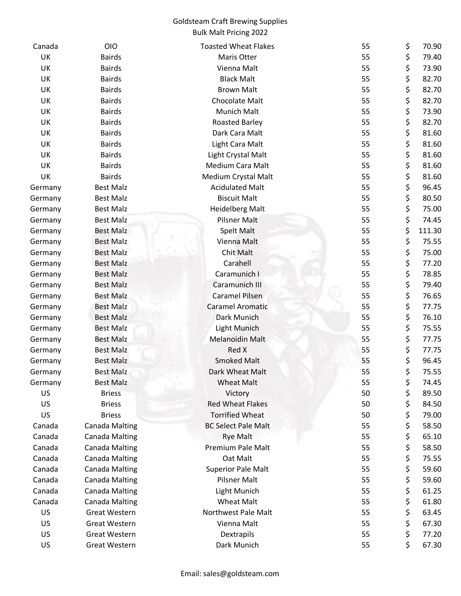## Goldsteam Craft Brewing Supplies Bulk Malt Pricing 2022

| Canada    | <b>OIO</b>            | <b>Toasted Wheat Flakes</b>          | 55 | \$       | 70.90  |
|-----------|-----------------------|--------------------------------------|----|----------|--------|
| UK        | <b>Bairds</b>         | Maris Otter                          | 55 | \$       | 79.40  |
| UK        | <b>Bairds</b>         | Vienna Malt                          | 55 | \$       | 73.90  |
| UK        | <b>Bairds</b>         | <b>Black Malt</b>                    | 55 | \$       | 82.70  |
| UK        | <b>Bairds</b>         | <b>Brown Malt</b>                    | 55 | \$       | 82.70  |
| UK        | <b>Bairds</b>         | Chocolate Malt                       | 55 | \$       | 82.70  |
| UK        | <b>Bairds</b>         | Munich Malt                          | 55 | \$       | 73.90  |
| UK        | <b>Bairds</b>         | Roasted Barley                       | 55 | \$       | 82.70  |
| UK        | <b>Bairds</b>         | Dark Cara Malt                       | 55 | \$       | 81.60  |
| UK        | <b>Bairds</b>         | Light Cara Malt                      | 55 | \$       | 81.60  |
| UK        | <b>Bairds</b>         | Light Crystal Malt                   | 55 | \$       | 81.60  |
| UK        | <b>Bairds</b>         | Medium Cara Malt                     | 55 | \$       | 81.60  |
| UK        | <b>Bairds</b>         | Medium Crystal Malt                  | 55 | \$       | 81.60  |
| Germany   | <b>Best Malz</b>      | <b>Acidulated Malt</b>               | 55 | \$       | 96.45  |
| Germany   | <b>Best Malz</b>      | <b>Biscuit Malt</b>                  | 55 | \$       | 80.50  |
| Germany   | <b>Best Malz</b>      | <b>Heidelberg Malt</b>               | 55 | \$       | 75.00  |
| Germany   | <b>Best Malz</b>      | <b>Pilsner Malt</b>                  | 55 | \$       | 74.45  |
| Germany   | <b>Best Malz</b>      | <b>Spelt Malt</b>                    | 55 | \$       | 111.30 |
| Germany   | <b>Best Malz</b>      | Vienna Malt                          | 55 | \$       | 75.55  |
| Germany   | <b>Best Malz</b>      | <b>Chit Malt</b>                     | 55 | \$       | 75.00  |
| Germany   | <b>Best Malz</b>      | Carahell                             | 55 | \$       | 77.20  |
| Germany   | <b>Best Malz</b>      | Caramunich I                         | 55 | \$       | 78.85  |
| Germany   | <b>Best Malz</b>      | Caramunich III                       | 55 | \$       | 79.40  |
| Germany   | <b>Best Malz</b>      | <b>Caramel Pilsen</b>                | 55 | \$       | 76.65  |
| Germany   | <b>Best Malz</b>      | <b>Caramel Aromatic</b>              | 55 | \$       | 77.75  |
| Germany   | <b>Best Malz</b>      | Dark Munich                          | 55 | \$       | 76.10  |
| Germany   | <b>Best Malz</b>      | Light Munich                         | 55 | \$       | 75.55  |
| Germany   | <b>Best Malz</b>      | <b>Melanoidin Malt</b>               | 55 | \$       | 77.75  |
| Germany   | <b>Best Malz</b>      | Red X                                | 55 | \$       | 77.75  |
| Germany   | <b>Best Malz</b>      | <b>Smoked Malt</b>                   | 55 | \$       | 96.45  |
| Germany   | <b>Best Malz</b>      | Dark Wheat Malt                      | 55 | \$       | 75.55  |
| Germany   | <b>Best Malz</b>      | <b>Wheat Malt</b>                    | 55 | \$       | 74.45  |
| <b>US</b> | <b>Briess</b>         | Victory                              | 50 | \$       | 89.50  |
| US        | <b>Briess</b>         | <b>Red Wheat Flakes</b>              | 50 | \$       | 84.50  |
| <b>US</b> | <b>Briess</b>         | <b>Torrified Wheat</b>               | 50 | \$       | 79.00  |
| Canada    | <b>Canada Malting</b> | <b>BC Select Pale Malt</b>           | 55 | \$       | 58.50  |
| Canada    |                       |                                      | 55 |          | 65.10  |
|           | <b>Canada Malting</b> | <b>Rye Malt</b><br>Premium Pale Malt |    | \$<br>\$ |        |
| Canada    | <b>Canada Malting</b> |                                      | 55 |          | 58.50  |
| Canada    | <b>Canada Malting</b> | Oat Malt                             | 55 | \$       | 75.55  |
| Canada    | <b>Canada Malting</b> | <b>Superior Pale Malt</b>            | 55 | \$       | 59.60  |
| Canada    | <b>Canada Malting</b> | <b>Pilsner Malt</b>                  | 55 | \$       | 59.60  |
| Canada    | <b>Canada Malting</b> | Light Munich                         | 55 | \$       | 61.25  |
| Canada    | <b>Canada Malting</b> | <b>Wheat Malt</b>                    | 55 | \$       | 61.80  |
| US        | <b>Great Western</b>  | Northwest Pale Malt                  | 55 | \$       | 63.45  |
| US        | Great Western         | Vienna Malt                          | 55 | \$       | 67.30  |
| US        | <b>Great Western</b>  | Dextrapils                           | 55 | \$       | 77.20  |
| US        | Great Western         | Dark Munich                          | 55 | \$       | 67.30  |